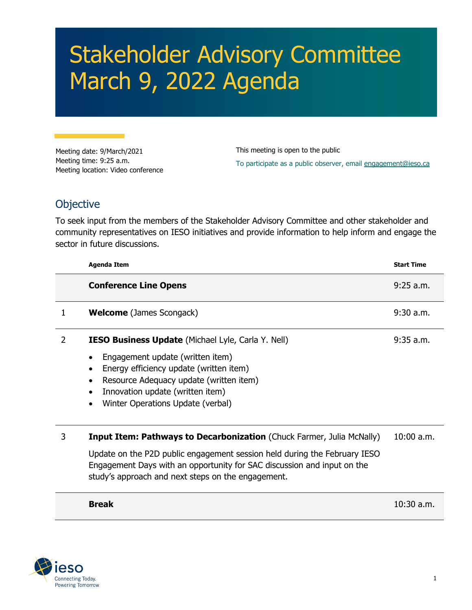## Stakeholder Advisory Committee March 9, 2022 Agenda

Meeting date: 9/March/2021 Meeting time: 9:25 a.m. Meeting location: Video conference This meeting is open to the public To participate as a public observer, email [engagement@ieso.ca](mailto:engagement@ieso.ca?subject=Register for March 9 SAC webinar)

## **Objective**

To seek input from the members of the Stakeholder Advisory Committee and other stakeholder and community representatives on IESO initiatives and provide information to help inform and engage the sector in future discussions.

|   | <b>Agenda Item</b>                                                                                                                                                                                                                                  | <b>Start Time</b> |
|---|-----------------------------------------------------------------------------------------------------------------------------------------------------------------------------------------------------------------------------------------------------|-------------------|
|   | <b>Conference Line Opens</b>                                                                                                                                                                                                                        | $9:25$ a.m.       |
| 1 | <b>Welcome</b> (James Scongack)                                                                                                                                                                                                                     | $9:30$ a.m.       |
| 2 | <b>IESO Business Update</b> (Michael Lyle, Carla Y. Nell)                                                                                                                                                                                           | $9:35$ a.m.       |
|   | Engagement update (written item)<br>$\bullet$<br>Energy efficiency update (written item)<br>$\bullet$<br>Resource Adequacy update (written item)<br>$\bullet$<br>Innovation update (written item)<br>$\bullet$<br>Winter Operations Update (verbal) |                   |
| 3 | <b>Input Item: Pathways to Decarbonization (Chuck Farmer, Julia McNally)</b>                                                                                                                                                                        | $10:00$ a.m.      |
|   | Update on the P2D public engagement session held during the February IESO<br>Engagement Days with an opportunity for SAC discussion and input on the<br>study's approach and next steps on the engagement.                                          |                   |
|   | <b>Break</b>                                                                                                                                                                                                                                        | $10:30$ a.m.      |